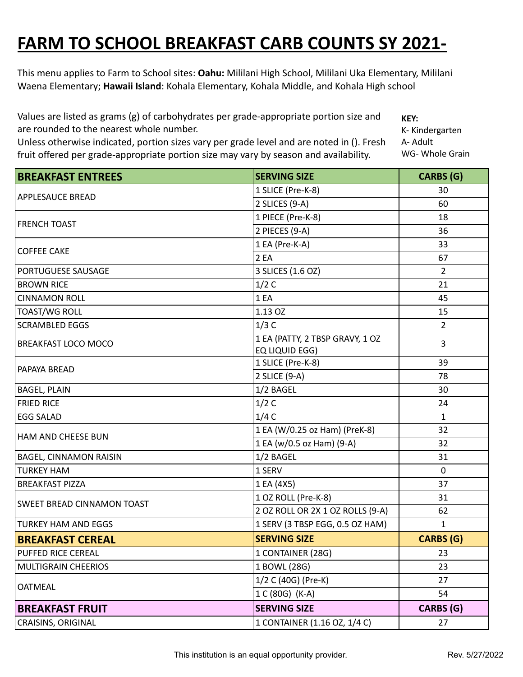## **FARM TO SCHOOL BREAKFAST CARB COUNTS SY 2021-**

**2022** This menu applies to Farm to School sites: **Oahu:** Mililani High School, Mililani Uka Elementary, Mililani Waena Elementary; **Hawaii Island**: Kohala Elementary, Kohala Middle, and Kohala High school

Values are listed as grams (g) of carbohydrates per grade-appropriate portion size and are rounded to the nearest whole number.

Unless otherwise indicated, portion sizes vary per grade level and are noted in (). Fresh fruit offered per grade-appropriate portion size may vary by season and availability.

**KEY:** K- Kindergarten A- Adult WG- Whole Grain

| <b>BREAKFAST ENTREES</b>          | <b>SERVING SIZE</b>              | <b>CARBS</b> (G) |
|-----------------------------------|----------------------------------|------------------|
| <b>APPLESAUCE BREAD</b>           | 1 SLICE (Pre-K-8)                | 30               |
|                                   | 2 SLICES (9-A)                   | 60               |
| <b>FRENCH TOAST</b>               | 1 PIECE (Pre-K-8)                | 18               |
|                                   | 2 PIECES (9-A)                   | 36               |
|                                   | 1 EA (Pre-K-A)                   | 33               |
| <b>COFFEE CAKE</b>                | 2 EA                             | 67               |
| <b>PORTUGUESE SAUSAGE</b>         | 3 SLICES (1.6 OZ)                | $\overline{2}$   |
| <b>BROWN RICE</b>                 | 1/2C                             | 21               |
| <b>CINNAMON ROLL</b>              | 1EA                              | 45               |
| <b>TOAST/WG ROLL</b>              | 1.13 OZ                          | 15               |
| <b>SCRAMBLED EGGS</b>             | 1/3C                             | $\overline{2}$   |
| <b>BREAKFAST LOCO MOCO</b>        | 1 EA (PATTY, 2 TBSP GRAVY, 1 OZ  | 3                |
|                                   | EQ LIQUID EGG)                   |                  |
| PAPAYA BREAD                      | 1 SLICE (Pre-K-8)                | 39               |
|                                   | 2 SLICE (9-A)                    | 78               |
| <b>BAGEL, PLAIN</b>               | 1/2 BAGEL                        | 30               |
| <b>FRIED RICE</b>                 | 1/2C                             | 24               |
| <b>EGG SALAD</b>                  | 1/4C                             | $\mathbf{1}$     |
| HAM AND CHEESE BUN                | 1 EA (W/0.25 oz Ham) (PreK-8)    | 32               |
|                                   | 1 EA (w/0.5 oz Ham) (9-A)        | 32               |
| <b>BAGEL, CINNAMON RAISIN</b>     | 1/2 BAGEL                        | 31               |
| <b>TURKEY HAM</b>                 | 1 SERV                           | $\mathbf{0}$     |
| <b>BREAKFAST PIZZA</b>            | 1 EA (4X5)                       | 37               |
| <b>SWEET BREAD CINNAMON TOAST</b> | 1 OZ ROLL (Pre-K-8)              | 31               |
|                                   | 2 OZ ROLL OR 2X 1 OZ ROLLS (9-A) | 62               |
| <b>TURKEY HAM AND EGGS</b>        | 1 SERV (3 TBSP EGG, 0.5 OZ HAM)  | $\mathbf{1}$     |
| <b>BREAKFAST CEREAL</b>           | <b>SERVING SIZE</b>              | <b>CARBS (G)</b> |
| PUFFED RICE CEREAL                | 1 CONTAINER (28G)                | 23               |
| <b>MULTIGRAIN CHEERIOS</b>        | 1 BOWL (28G)                     | 23               |
| <b>OATMEAL</b>                    | 1/2 C (40G) (Pre-K)              | 27               |
|                                   | 1 C (80G) (K-A)                  | 54               |
| <b>BREAKFAST FRUIT</b>            | <b>SERVING SIZE</b>              | CARBS (G)        |
| <b>CRAISINS, ORIGINAL</b>         | 1 CONTAINER (1.16 OZ, 1/4 C)     | 27               |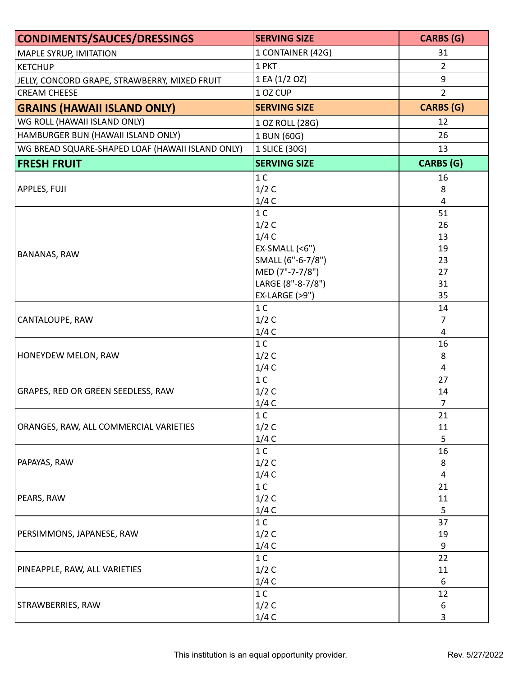| <b>CONDIMENTS/SAUCES/DRESSINGS</b>               | <b>SERVING SIZE</b> | <b>CARBS (G)</b> |
|--------------------------------------------------|---------------------|------------------|
| <b>MAPLE SYRUP, IMITATION</b>                    | 1 CONTAINER (42G)   | 31               |
| <b>KETCHUP</b>                                   | 1 PKT               | $\overline{2}$   |
| JELLY, CONCORD GRAPE, STRAWBERRY, MIXED FRUIT    | 1 EA (1/2 OZ)       | 9                |
| <b>CREAM CHEESE</b>                              | 1 OZ CUP            | $\overline{2}$   |
| <b>GRAINS (HAWAII ISLAND ONLY)</b>               | <b>SERVING SIZE</b> | <b>CARBS (G)</b> |
| WG ROLL (HAWAII ISLAND ONLY)                     | 1 OZ ROLL (28G)     | 12               |
| HAMBURGER BUN (HAWAII ISLAND ONLY)               | 1 BUN (60G)         | 26               |
| WG BREAD SQUARE-SHAPED LOAF (HAWAII ISLAND ONLY) | 1 SLICE (30G)       | 13               |
| <b>FRESH FRUIT</b>                               | <b>SERVING SIZE</b> | <b>CARBS</b> (G) |
|                                                  | 1 <sup>C</sup>      | 16               |
| APPLES, FUJI                                     | 1/2C                | 8                |
|                                                  | 1/4C                | 4                |
|                                                  | 1 <sup>C</sup>      | 51               |
|                                                  | 1/2C                | 26               |
|                                                  | 1/4C                | 13               |
|                                                  | $EX-SMALL$ (<6")    | 19               |
| <b>BANANAS, RAW</b>                              | SMALL (6"-6-7/8")   | 23               |
|                                                  | MED (7"-7-7/8")     | 27               |
|                                                  | LARGE (8"-8-7/8")   | 31               |
|                                                  | EX-LARGE (>9")      | 35               |
|                                                  | 1 <sup>C</sup>      | 14               |
| <b>CANTALOUPE, RAW</b>                           | 1/2C                | $\overline{7}$   |
|                                                  | 1/4C                | 4                |
|                                                  | 1 <sup>C</sup>      | 16               |
| <b>HONEYDEW MELON, RAW</b>                       | 1/2C                | 8                |
|                                                  | 1/4C                | $\overline{4}$   |
|                                                  | 1 <sup>C</sup>      | 27               |
| GRAPES, RED OR GREEN SEEDLESS, RAW               | 1/2C                | 14               |
|                                                  | 1/4C                | $\overline{7}$   |
| ORANGES, RAW, ALL COMMERCIAL VARIETIES           | 1 <sup>C</sup>      | 21               |
|                                                  | 1/2C                | 11               |
|                                                  | 1/4C                | 5                |
| PAPAYAS, RAW                                     | 1 <sup>C</sup>      | 16               |
|                                                  | 1/2C                | 8                |
|                                                  | 1/4C                | 4                |
|                                                  | 1 <sup>C</sup>      | 21               |
| PEARS, RAW                                       | 1/2C                | 11               |
|                                                  | 1/4C                | 5                |
|                                                  | 1 <sup>C</sup>      | 37               |
| PERSIMMONS, JAPANESE, RAW                        | 1/2C                | 19               |
|                                                  | 1/4C                | $\boldsymbol{9}$ |
| PINEAPPLE, RAW, ALL VARIETIES                    | 1 <sup>C</sup>      | 22               |
|                                                  | 1/2C                | 11               |
|                                                  | 1/4C                | 6                |
| STRAWBERRIES, RAW                                | 1 <sup>C</sup>      | 12               |
|                                                  | 1/2C                | 6                |
|                                                  | 1/4C                | 3                |